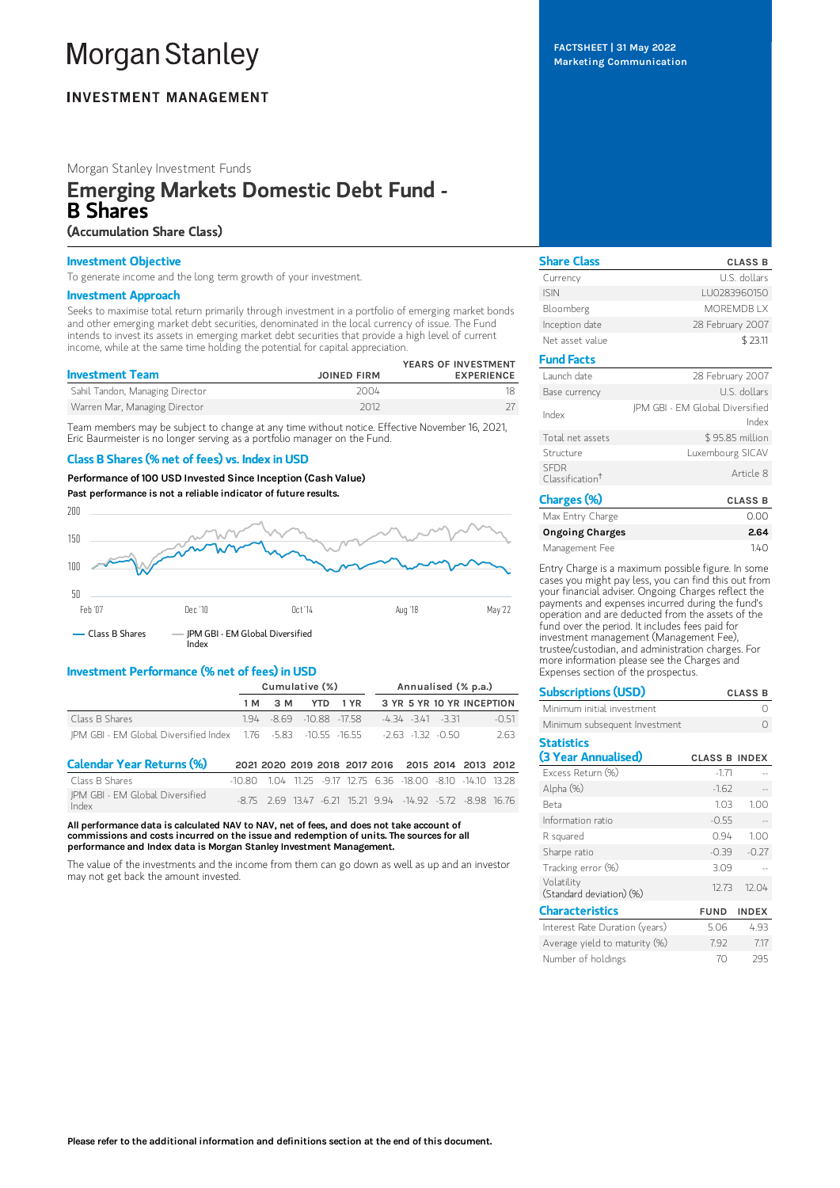# **Morgan Stanley**

# **INVESTMENT MANAGEMENT**

# Morgan Stanley Investment Funds

# Emerging Markets Domestic Debt Fund - B Shares

# (Accumulation Share Class)

# Investment Objective

To generate income and the long term growth of your investment.

### Investment Approach

Seeks to maximise total return primarily through investment in a portfolio of emerging market bonds and other emerging market debt securities, denominated in the local currency of issue. The Fund intends to invest its assets in emerging market debt securities that provide a high level of current income, while at the same time holding the potential for capital appreciation.

| <b>Investment Team</b>          | <b>JOINED FIRM</b> | YEARS OF INVESTMENT<br><b>EXPERIENCE</b> |
|---------------------------------|--------------------|------------------------------------------|
| Sahil Tandon, Managing Director | 2004               |                                          |
| Warren Mar, Managing Director   | 2012               |                                          |

Team members may be subject to change at any time without notice. Effective November 16, 2021, Eric Baurmeister is no longer serving as a portfolio manager on the Fund.

# Class B Shares (% net of fees) vs. Index in USD

Performance of 100 USD Invested Since Inception (Cash Value)

```
Past performance is not a reliable indicator of future results.
```


# Investment Performance (% net of fees) in USD

|                                                                                             | Cumulative (%) |         |                         |  | Annualised (% p.a.)                |      |  |
|---------------------------------------------------------------------------------------------|----------------|---------|-------------------------|--|------------------------------------|------|--|
|                                                                                             |                | 1 M 3 M |                         |  | YTD 1 YR 3 YR 5 YR 10 YR INCEPTION |      |  |
| Class B Shares                                                                              |                |         | 194 - 869 - 1088 - 1758 |  | -434-341-331<br>-0.51              |      |  |
| 10.55 - 2.63 - 1.32 - 0.50 - 1.76 - 1.76 - 1.76 - 5.83 - 10.55 - 16.55 - 1.32 - 1.32 - 0.50 |                |         |                         |  |                                    | 2.63 |  |

| <b>Calendar Year Returns (%)</b>         |  |  |  | 2021 2020 2019 2018 2017 2016 2015 2014 2013 2012                   |  |  |
|------------------------------------------|--|--|--|---------------------------------------------------------------------|--|--|
| Class B Shares                           |  |  |  | $-10.80$ 104 1125 $-917$ 12.75 6.36 $-18.00$ $-8.10$ $-14.10$ 13.28 |  |  |
| IPM GBI - EM Global Diversified<br>Index |  |  |  | -8.75 2.69 13.47 6.21 15.21 9.94 -14.92 -5.72 -8.98 16.76           |  |  |

All performance data is calculated NAV to NAV, net of fees, and does not take account of commissions and costs incurred on the issue and redemption of units. The sources for all performance and Index data is Morgan Stanley Investment Management.

The value of the investments and the income from them can go down as well as up and an investor may not get back the amount invested.

FACTSHEET | 31 May 2022 Marketing Communication

| <b>Share Class</b>                         | <b>CLASS B</b>                           |
|--------------------------------------------|------------------------------------------|
| Currency                                   | U.S. dollars                             |
| <b>ISIN</b>                                | LU0283960150                             |
| Bloomberg                                  | <b>MOREMDBIX</b>                         |
| Inception date                             | 28 February 2007                         |
| Net asset value                            | \$23.11                                  |
| <b>Fund Facts</b>                          |                                          |
| Launch date                                | 28 February 2007                         |
| Base currency                              | U.S. dollars                             |
| Index                                      | JPM GBI - EM Global Diversified<br>Index |
| Total net assets                           | \$95.85 million                          |
| Structure                                  | Luxembourg SICAV                         |
| <b>SFDR</b><br>Classification <sup>+</sup> | Article 8                                |
| Charges (%)                                | <b>CLASS B</b>                           |
| $\cdots$ $\cdots$ $\cdots$                 | $\cap$ $\cap$                            |

| Max Entry Charge       | 0.00 |
|------------------------|------|
| <b>Ongoing Charges</b> | 2.64 |
| Management Fee         | 140  |

Entry Charge is a maximum possible figure. In some cases you might pay less, you can find this out from your financial adviser. Ongoing Charges reflect the payments and expenses incurred during the fund's operation and are deducted from the assets of the fund over the period. It includes fees paid for investment management (Management Fee), trustee/custodian, and administration charges. For more information please see the Charges and Expenses section of the prospectus.

| <b>Subscriptions (USD)</b>               |                      | <b>CLASS B</b> |
|------------------------------------------|----------------------|----------------|
| Minimum initial investment               |                      | ∩              |
| Minimum subsequent Investment            |                      |                |
| <b>Statistics</b><br>(3 Year Annualised) | <b>CLASS B INDEX</b> |                |
| Excess Return (%)                        | $-1.71$              |                |
| Alpha (%)                                | $-1.62$              |                |
| Beta                                     | 1.03                 | 1.00           |
| Information ratio                        | $-0.55$              |                |
| R squared                                | 0.94                 | 1.00           |
| Sharpe ratio                             | $-0.39$              | $-0.27$        |
| Tracking error (%)                       | 3.09                 |                |
| Volatility<br>(Standard deviation) (%)   | 12.73                | 12.04          |
| <b>Characteristics</b>                   | <b>FUND</b>          | <b>INDEX</b>   |
| Interest Rate Duration (years)           | 5.06                 | 4.93           |
| Average yield to maturity (%)            | 7.92                 | 7.17           |
| Number of holdings                       | 70                   | 295            |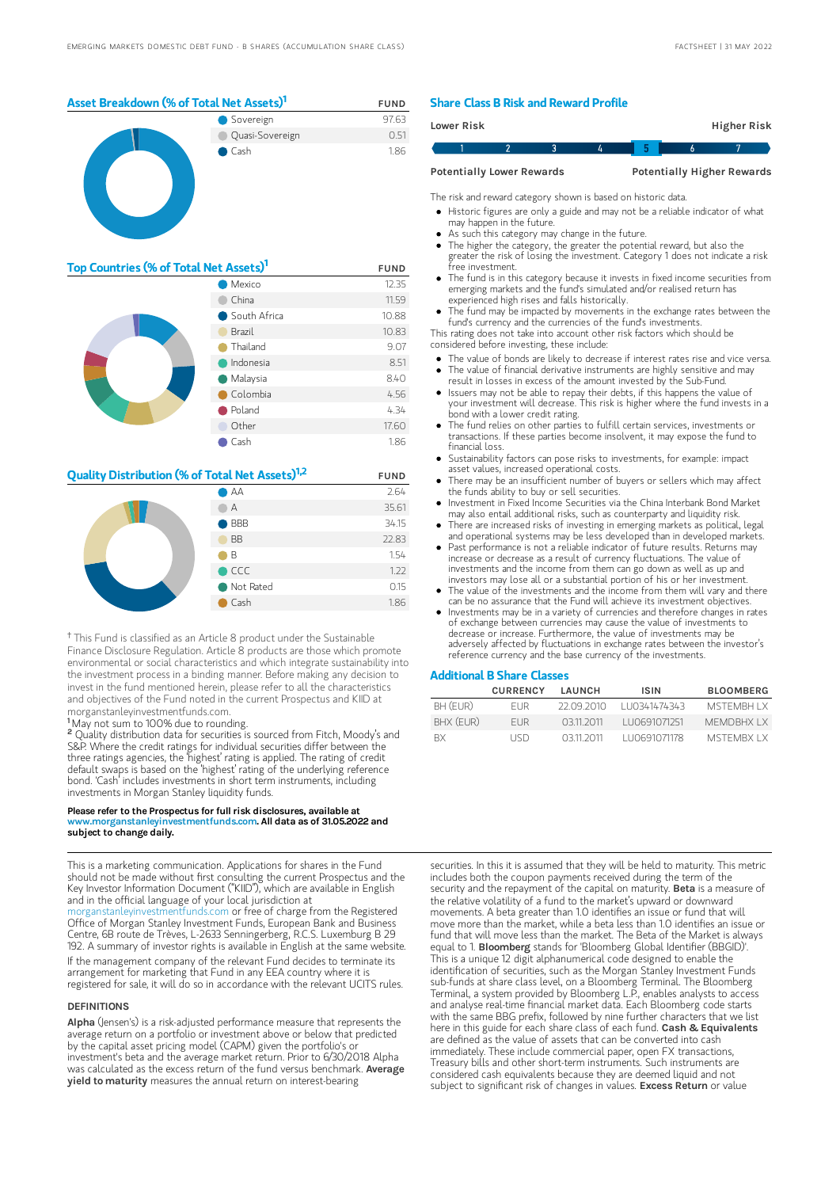

| Top Countries (% of Total Net Assets) <sup>1</sup> | <b>FUND</b>  |       |
|----------------------------------------------------|--------------|-------|
|                                                    | 12.35        |       |
| China                                              |              | 11.59 |
|                                                    | South Africa | 10.88 |
|                                                    | Brazil       | 10.83 |
|                                                    | Thailand     | 9.07  |
|                                                    | Indonesia    | 8.51  |
|                                                    | Malaysia     | 8.40  |
|                                                    | Colombia     | 4.56  |
|                                                    | Poland       | 4.34  |
|                                                    | Other        | 17.60 |
|                                                    | Cash         | 1.86  |

# **Quality Distribution (% of Total Net Assets)**<sup>1,2</sup> FUND



<sup>†</sup> This Fund is classified as an Article 8 product under the Sustainable Finance Disclosure Regulation. Article 8 products are those which promote environmental or social characteristics and which integrate sustainability into the investment process in a binding manner. Before making any decision to invest in the fund mentioned herein, please refer to all the characteristics and objectives of the Fund noted in the current Prospectus and KIID at morganstanleyinvestmentfunds.com.

May not sum to 100% due to rounding. 1

Quality distribution data for securities is sourced from Fitch, Moody's and S&P. Where the credit ratings for individual securities differ between the three ratings agencies, the 'highest' rating is applied. The rating of credit default swaps is based on the 'highest' rating of the underlying reference bond. 'Cash' includes investments in short term instruments, including investments in Morgan Stanley liquidity funds. 2

#### Please refer to the Prospectus for full risk disclosures, available at www.morganstanleyinvestmentfunds.com, All data as of 31.05.20  $v$ estmentfunds.com. All data as of 31.05.2022 and subject to change daily.

This is a marketing communication. Applications for shares in the Fund should not be made without first consulting the current Prospectus and the Key Investor Information Document ("KIID"), which are available in English and in the official language of your local jurisdiction at [morganstanleyinvestmentfunds.com](https://www.morganstanley.com/im/msinvf/index.html) or free of charge from the Registered

Office of Morgan Stanley Investment Funds, European Bank and Business Centre, 6B route de Trèves, L-2633 Senningerberg, R.C.S. Luxemburg B 29 192. A summary of investor rights is available in English at the same website. If the management company of the relevant Fund decides to terminate its arrangement for marketing that Fund in any EEA country where it is registered for sale, it will do so in accordance with the relevant UCITS rules.

#### **DEFINITIONS**

Alpha (Jensen's) is a risk-adjusted performance measure that represents the average return on a portfolio or investment above or below that predicted by the capital asset pricing model (CAPM) given the portfolio's or investment's beta and the average market return. Prior to 6/30/2018 Alpha was calculated as the excess return of the fund versus benchmark. Average yield to maturity measures the annual return on interest-bearing

### Share Class B Risk and Reward Profile

| Lower Risk |                                  |  |  | <b>Higher Risk</b>                |  |
|------------|----------------------------------|--|--|-----------------------------------|--|
|            |                                  |  |  |                                   |  |
|            | <b>Potentially Lower Rewards</b> |  |  | <b>Potentially Higher Rewards</b> |  |

The risk and reward category shown is based on historic data.

- Historic figures are only a guide and may not be a reliable indicator of what may happen in the future.
- As such this category may change in the future.
- The higher the category, the greater the potential reward, but also the greater the risk of losing the investment. Category 1 does not indicate a risk free investment.
- The fund is in this category because it invests in fixed income securities from emerging markets and the fund's simulated and/or realised return has experienced high rises and falls historically.
- The fund may be impacted by movements in the exchange rates between the fund's currency and the currencies of the fund's investments.

This rating does not take into account other risk factors which should be considered before investing, these include:

- The value of bonds are likely to decrease if interest rates rise and vice versa.
- The value of financial derivative instruments are highly sensitive and may result in losses in excess of the amount invested by the Sub-Fund. Issuers may not be able to repay their debts, if this happens the value of
- your investment will decrease. This risk is higher where the fund invests in a bond with a lower credit rating.
- The fund relies on other parties to fulfill certain services, investments or transactions. If these parties become insolvent, it may expose the fund to financial loss.
- Sustainability factors can pose risks to investments, for example: impact asset values, increased operational costs.
- There may be an insufficient number of buyers or sellers which may affect the funds ability to buy or sell securities.
- Investment in Fixed Income Securities via the China Interbank Bond Market may also entail additional risks, such as counterparty and liquidity risk.  $\bullet$
- There are increased risks of investing in emerging markets as political, legal and operational systems may be less developed than in developed markets. Past performance is not a reliable indicator of future results. Returns may
- increase or decrease as a result of currency fluctuations. The value of investments and the income from them can go down as well as up and
- investors may lose all or a substantial portion of his or her investment. The value of the investments and the income from them will vary and there can be no assurance that the Fund will achieve its investment objectives.
- Investments may be in a variety of currencies and therefore changes in rates of exchange between currencies may cause the value of investments to decrease or increase. Furthermore, the value of investments may be adversely affected by fluctuations in exchange rates between the investor's reference currency and the base currency of the investments.

### Additional B Share Classes

|           | <b>CURRENCY</b> | LAUNCH     | <b>ISIN</b>   | <b>BLOOMBERG</b>   |
|-----------|-----------------|------------|---------------|--------------------|
| BH (EUR)  | FUR.            | 22 09 2010 | 1110341474343 | MSTEMRH I X        |
| BHX (EUR) | <b>FUR</b>      | 03112011   | LU0691071251  | <b>MEMDBHX I X</b> |
| <b>RX</b> | LISD            | 03112011   | LU0691071178  | MSTEMBX LX         |

securities. In this it is assumed that they will be held to maturity. This metric includes both the coupon payments received during the term of the security and the repayment of the capital on maturity. Beta is a measure of the relative volatility of a fund to the market's upward or downward movements. A beta greater than 1.0 identifies an issue or fund that will move more than the market, while a beta less than 1.0 identifies an issue or fund that will move less than the market. The Beta of the Market is always equal to 1. Bloomberg stands for 'Bloomberg Global Identifier (BBGID)'. This is a unique 12 digit alphanumerical code designed to enable the identification of securities, such as the Morgan Stanley Investment Funds sub-funds at share class level, on a Bloomberg Terminal. The Bloomberg Terminal, a system provided by Bloomberg L.P., enables analysts to access and analyse real-time financial market data. Each Bloomberg code starts with the same BBG prefix, followed by nine further characters that we list here in this guide for each share class of each fund. Cash & Equivalents are defined as the value of assets that can be converted into cash immediately. These include commercial paper, open FX transactions, Treasury bills and other short-term instruments. Such instruments are considered cash equivalents because they are deemed liquid and not subject to significant risk of changes in values. Excess Return or value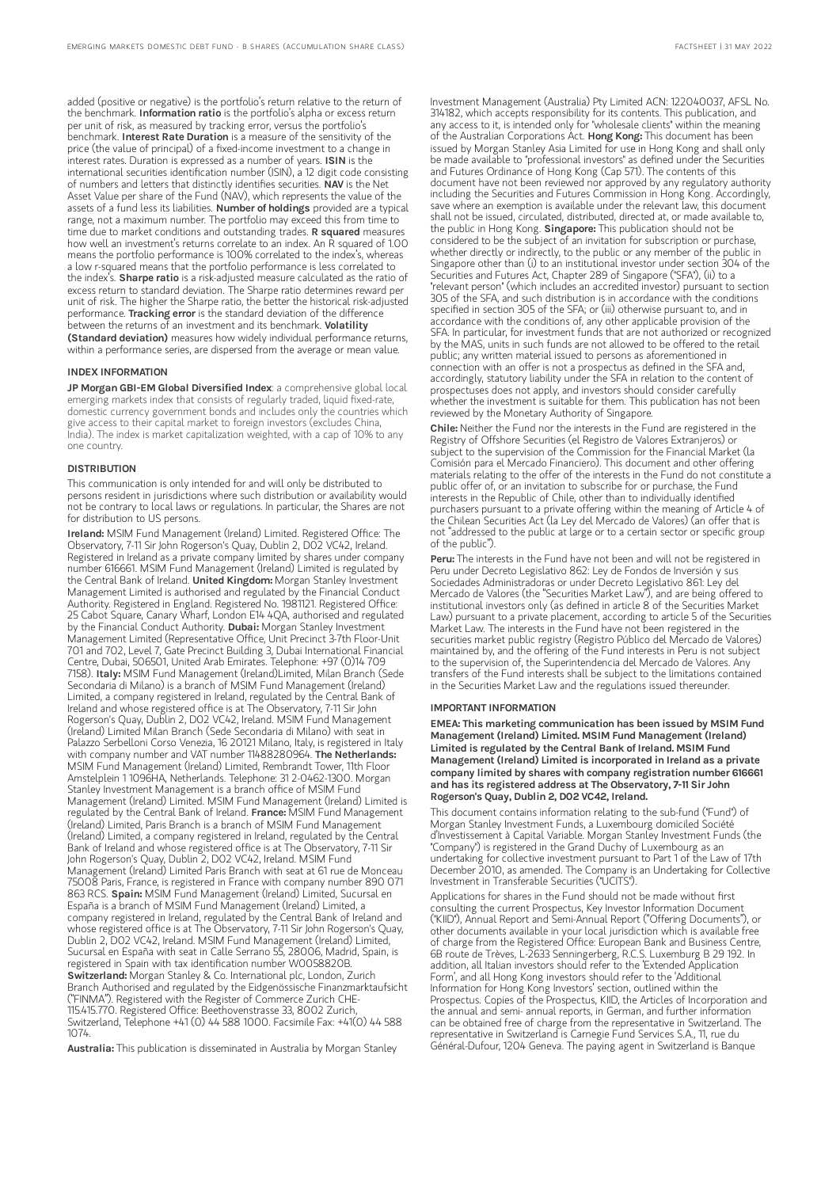added (positive or negative) is the portfolio's return relative to the return of the benchmark. Information ratio is the portfolio's alpha or excess return per unit of risk, as measured by tracking error, versus the portfolio's benchmark. Interest Rate Duration is a measure of the sensitivity of the price (the value of principal) of a fixed-income investment to a change in interest rates. Duration is expressed as a number of years. ISIN is the international securities identification number (ISIN), a 12 digit code consisting of numbers and letters that distinctly identifies securities. NAV is the Net Asset Value per share of the Fund (NAV), which represents the value of the assets of a fund less its liabilities. Number of holdings provided are a typical range, not a maximum number. The portfolio may exceed this from time to time due to market conditions and outstanding trades. R squared measures how well an investment's returns correlate to an index. An R squared of 1.00 means the portfolio performance is 100% correlated to the index's, whereas a low r-squared means that the portfolio performance is less correlated to the index's. Sharpe ratio is a risk-adjusted measure calculated as the ratio of excess return to standard deviation. The Sharpe ratio determines reward per unit of risk. The higher the Sharpe ratio, the better the historical risk-adjusted performance. Tracking error is the standard deviation of the difference between the returns of an investment and its benchmark. Volatility (Standard deviation) measures how widely individual performance returns, within a performance series, are dispersed from the average or mean value.

#### INDEX INFORMATION

JP Morgan GBI-EM Global Diversified Index: a comprehensive global local emerging markets index that consists of regularly traded, liquid fixed-rate, domestic currency government bonds and includes only the countries which give access to their capital market to foreign investors (excludes China, India). The index is market capitalization weighted, with a cap of 10% to any one country.

#### **DISTRIBUTION**

This communication is only intended for and will only be distributed to persons resident in jurisdictions where such distribution or availability would not be contrary to local laws or regulations. In particular, the Shares are not for distribution to US persons.

Ireland: MSIM Fund Management (Ireland) Limited. Registered Office: The Observatory, 7-11 Sir John Rogerson's Quay, Dublin 2, D02 VC42, Ireland. Registered in Ireland as a private company limited by shares under company number 616661. MSIM Fund Management (Ireland) Limited is regulated by the Central Bank of Ireland. United Kingdom: Morgan Stanley Investment Management Limited is authorised and regulated by the Financial Conduct Authority. Registered in England. Registered No. 1981121. Registered Office: 25 Cabot Square, Canary Wharf, London E14 4QA, authorised and regulated by the Financial Conduct Authority. Dubai: Morgan Stanley Investment Management Limited (Representative Office, Unit Precinct 3-7th Floor-Unit 701 and 702, Level 7, Gate Precinct Building 3, Dubai International Financial Centre, Dubai, 506501, United Arab Emirates. Telephone: +97 (0)14 709 7158). Italy: MSIM Fund Management (Ireland)Limited, Milan Branch (Sede Secondaria di Milano) is a branch of MSIM Fund Management (Ireland) Limited, a company registered in Ireland, regulated by the Central Bank of Ireland and whose registered office is at The Observatory, 7-11 Sir John Rogerson's Quay, Dublin 2, D02 VC42, Ireland. MSIM Fund Management (Ireland) Limited Milan Branch (Sede Secondaria di Milano) with seat in Palazzo Serbelloni Corso Venezia, 16 20121 Milano, Italy, is registered in Italy with company number and VAT number 11488280964. The Netherlands: MSIM Fund Management (Ireland) Limited, Rembrandt Tower, 11th Floor Amstelplein 1 1096HA, Netherlands. Telephone: 31 2-0462-1300. Morgan Stanley Investment Management is a branch office of MSIM Fund Management (Ireland) Limited. MSIM Fund Management (Ireland) Limited is<br>regulated by the Central Bank of Ireland. **France:** MSIM Fund Management (Ireland) Limited, Paris Branch is a branch of MSIM Fund Management (Ireland) Limited, a company registered in Ireland, regulated by the Central Bank of Ireland and whose registered office is at The Observatory, 7-11 Sir John Rogerson's Quay, Dublin 2, D02 VC42, Ireland. MSIM Fund Management (Ireland) Limited Paris Branch with seat at 61 rue de Monceau 75008 Paris, France, is registered in France with company number 890 071<br>863 RCS. **Spain:** MSIM Fund Management (Ireland) Limited, Sucursal en España is a branch of MSIM Fund Management (Ireland) Limited, a company registered in Ireland, regulated by the Central Bank of Ireland and whose registered office is at The Observatory, 7-11 Sir John Rogerson's Quay, Dublin 2, D02 VC42, Ireland. MSIM Fund Management (Ireland) Limited, Sucursal en España with seat in Calle Serrano 55, 28006, Madrid, Spain, is registered in Spain with tax identification number W0058820B. Switzerland: Morgan Stanley & Co. International plc, London, Zurich Branch Authorised and regulated by the Eidgenössische Finanzmarktaufsicht ("FINMA"). Registered with the Register of Commerce Zurich CHE-115.415.770. Registered Office: Beethovenstrasse 33, 8002 Zurich, Switzerland, Telephone +41 (0) 44 588 1000. Facsimile Fax: +41(0) 44 588 1074.

Australia: This publication is disseminated in Australia by Morgan Stanley

Investment Management (Australia) Pty Limited ACN: 122040037, AFSL No. 314182, which accepts responsibility for its contents. This publication, and any access to it, is intended only for "wholesale clients" within the meaning of the Australian Corporations Act. Hong Kong: This document has been issued by Morgan Stanley Asia Limited for use in Hong Kong and shall only be made available to "professional investors" as defined under the Securities and Futures Ordinance of Hong Kong (Cap 571). The contents of this document have not been reviewed nor approved by any regulatory authority including the Securities and Futures Commission in Hong Kong. Accordingly, save where an exemption is available under the relevant law, this document shall not be issued, circulated, distributed, directed at, or made available to, the public in Hong Kong. Singapore: This publication should not be considered to be the subject of an invitation for subscription or purchase, whether directly or indirectly, to the public or any member of the public in Singapore other than (i) to an institutional investor under section 304 of the Securities and Futures Act, Chapter 289 of Singapore ("SFA"), (ii) to a "relevant person" (which includes an accredited investor) pursuant to section 305 of the SFA, and such distribution is in accordance with the conditions specified in section 305 of the SFA; or (iii) otherwise pursuant to, and in accordance with the conditions of, any other applicable provision of the SFA. In particular, for investment funds that are not authorized or recognized by the MAS, units in such funds are not allowed to be offered to the retail public; any written material issued to persons as aforementioned in connection with an offer is not a prospectus as defined in the SFA and, accordingly, statutory liability under the SFA in relation to the content of prospectuses does not apply, and investors should consider carefully whether the investment is suitable for them. This publication has not been reviewed by the Monetary Authority of Singapore.

Chile: Neither the Fund nor the interests in the Fund are registered in the Registry of Offshore Securities (el Registro de Valores Extranjeros) or subject to the supervision of the Commission for the Financial Market (la Comisión para el Mercado Financiero). This document and other offering materials relating to the offer of the interests in the Fund do not constitute a public offer of, or an invitation to subscribe for or purchase, the Fund interests in the Republic of Chile, other than to individually identified purchasers pursuant to a private offering within the meaning of Article 4 of the Chilean Securities Act (la Ley del Mercado de Valores) (an offer that is not "addressed to the public at large or to a certain sector or specific group of the public").

Peru: The interests in the Fund have not been and will not be registered in Peru under Decreto Legislativo 862: Ley de Fondos de Inversión y sus Sociedades Administradoras or under Decreto Legislativo 861: Ley del Mercado de Valores (the "Securities Market Law"), and are being offered to institutional investors only (as defined in article 8 of the Securities Market Law) pursuant to a private placement, according to article 5 of the Securities Market Law. The interests in the Fund have not been registered in the securities market public registry (Registro Público del Mercado de Valores) maintained by, and the offering of the Fund interests in Peru is not subject to the supervision of, the Superintendencia del Mercado de Valores. Any transfers of the Fund interests shall be subject to the limitations contained in the Securities Market Law and the regulations issued thereunder.

#### IMPORTANT INFORMATION

EMEA: This marketing communication has been issued by MSIM Fund Management (Ireland) Limited. MSIM Fund Management (Ireland) Limited is regulated by the Central Bank of Ireland. MSIM Fund Management (Ireland) Limited is incorporated in Ireland as a private company limited by shares with company registration number 616661 and has its registered address at The Observatory, 7-11 Sir John Rogerson's Quay, Dublin 2, D02 VC42, Ireland.

This document contains information relating to the sub-fund ("Fund") of Morgan Stanley Investment Funds, a Luxembourg domiciled Société d'Investissement à Capital Variable. Morgan Stanley Investment Funds (the "Company") is registered in the Grand Duchy of Luxembourg as an undertaking for collective investment pursuant to Part 1 of the Law of 17th December 2010, as amended. The Company is an Undertaking for Collective Investment in Transferable Securities ("UCITS").

Applications for shares in the Fund should not be made without first consulting the current Prospectus, Key Investor Information Document ("KIID"), Annual Report and Semi-Annual Report ("Offering Documents"), or other documents available in your local jurisdiction which is available free of charge from the Registered Office: European Bank and Business Centre, 6B route de Trèves, L-2633 Senningerberg, R.C.S. Luxemburg B 29 192. In addition, all Italian investors should refer to the 'Extended Application Form', and all Hong Kong investors should refer to the 'Additional Information for Hong Kong Investors' section, outlined within the Prospectus. Copies of the Prospectus, KIID, the Articles of Incorporation and the annual and semi- annual reports, in German, and further information can be obtained free of charge from the representative in Switzerland. The representative in Switzerland is Carnegie Fund Services S.A., 11, rue du Général-Dufour, 1204 Geneva. The paying agent in Switzerland is Banque